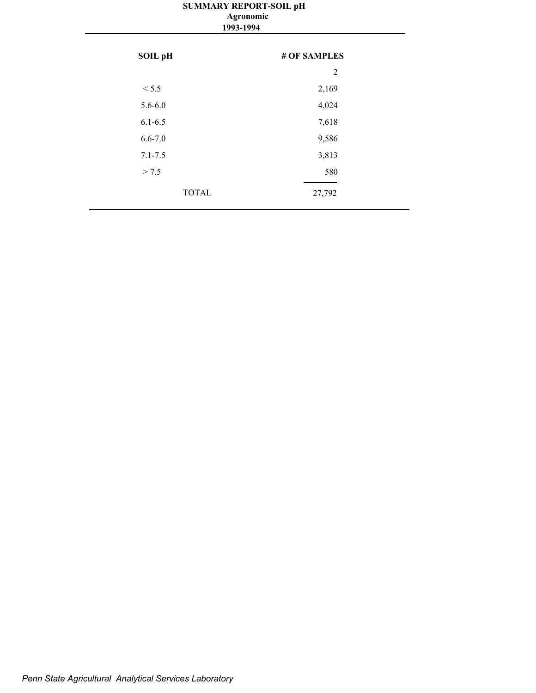#### **SUMMARY REPORT-SOIL pH 1993-1994 Agronomic**

| SOIL pH      | # OF SAMPLES |
|--------------|--------------|
|              | 2            |
| < 5.5        | 2,169        |
| $5.6 - 6.0$  | 4,024        |
| $6.1 - 6.5$  | 7,618        |
| $6.6 - 7.0$  | 9,586        |
| $7.1 - 7.5$  | 3,813        |
| > 7.5        | 580          |
| <b>TOTAL</b> | 27,792       |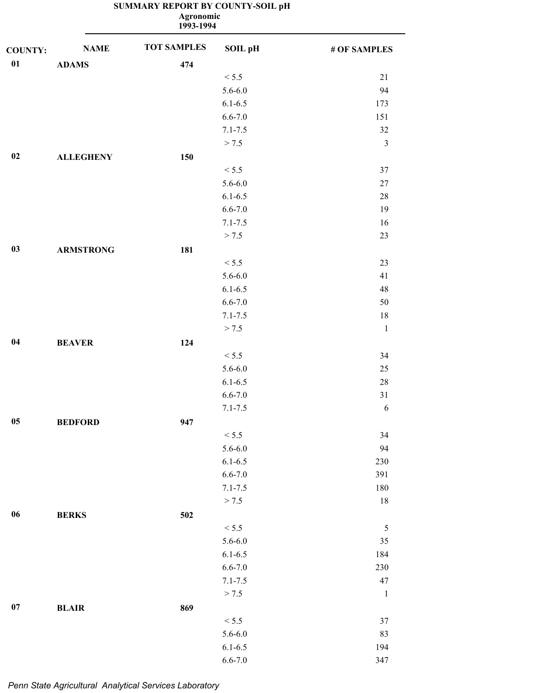|                |                  | <b>Agronomic</b><br>1993-1994 |                |                         |
|----------------|------------------|-------------------------------|----------------|-------------------------|
| <b>COUNTY:</b> | <b>NAME</b>      | <b>TOT SAMPLES</b>            | <b>SOIL pH</b> | # OF SAMPLES            |
| 01             | <b>ADAMS</b>     | 474                           |                |                         |
|                |                  |                               | < 5.5          | $21\,$                  |
|                |                  |                               | $5.6 - 6.0$    | 94                      |
|                |                  |                               | $6.1 - 6.5$    | 173                     |
|                |                  |                               | $6.6 - 7.0$    | 151                     |
|                |                  |                               | $7.1 - 7.5$    | 32                      |
|                |                  |                               | > 7.5          | $\overline{\mathbf{3}}$ |
| 02             | <b>ALLEGHENY</b> | 150                           |                |                         |
|                |                  |                               | < 5.5          | 37                      |
|                |                  |                               | $5.6 - 6.0$    | $27\,$                  |
|                |                  |                               | $6.1 - 6.5$    | 28                      |
|                |                  |                               | $6.6 - 7.0$    | 19                      |
|                |                  |                               | $7.1 - 7.5$    | 16                      |
|                |                  |                               | > 7.5          | 23                      |
| 03             | <b>ARMSTRONG</b> | 181                           |                |                         |
|                |                  |                               | < 5.5          | 23                      |
|                |                  |                               | $5.6 - 6.0$    | 41                      |
|                |                  |                               | $6.1 - 6.5$    | 48                      |
|                |                  |                               | $6.6 - 7.0$    | 50                      |
|                |                  |                               | $7.1 - 7.5$    | 18                      |
|                |                  |                               | > 7.5          | $\mathbf{1}$            |
| 04             | <b>BEAVER</b>    | 124                           |                |                         |
|                |                  |                               | < 5.5          | 34                      |
|                |                  |                               | $5.6 - 6.0$    | 25                      |
|                |                  |                               | $6.1 - 6.5$    | 28                      |
|                |                  |                               | $6.6 - 7.0$    | $31\,$                  |
|                |                  |                               | $7.1 - 7.5$    | 6                       |
| $05\,$         | <b>BEDFORD</b>   | 947                           |                |                         |
|                |                  |                               | < 5.5          | 34                      |
|                |                  |                               | $5.6 - 6.0$    | 94                      |
|                |                  |                               | $6.1 - 6.5$    | 230                     |
|                |                  |                               | $6.6 - 7.0$    | 391                     |
|                |                  |                               | $7.1 - 7.5$    | 180                     |
|                |                  |                               | > 7.5          | 18                      |
| $06\,$         | <b>BERKS</b>     | 502                           |                |                         |
|                |                  |                               | < 5.5          | 5                       |
|                |                  |                               | $5.6 - 6.0$    | 35                      |
|                |                  |                               | $6.1 - 6.5$    | 184                     |
|                |                  |                               | $6.6 - 7.0$    | 230                     |
|                |                  |                               | $7.1 - 7.5$    | 47                      |
|                |                  |                               | > 7.5          | $\mathbf{1}$            |
| 07             | <b>BLAIR</b>     | 869                           |                |                         |
|                |                  |                               | < 5.5          | 37                      |
|                |                  |                               | $5.6 - 6.0$    | 83                      |
|                |                  |                               | $6.1 - 6.5$    | 194                     |
|                |                  |                               |                |                         |

6.6-7.0 347

## **SUMMARY REPORT BY COUNTY-SOIL pH**

*Penn State Agricultural Analytical Services Laboratory*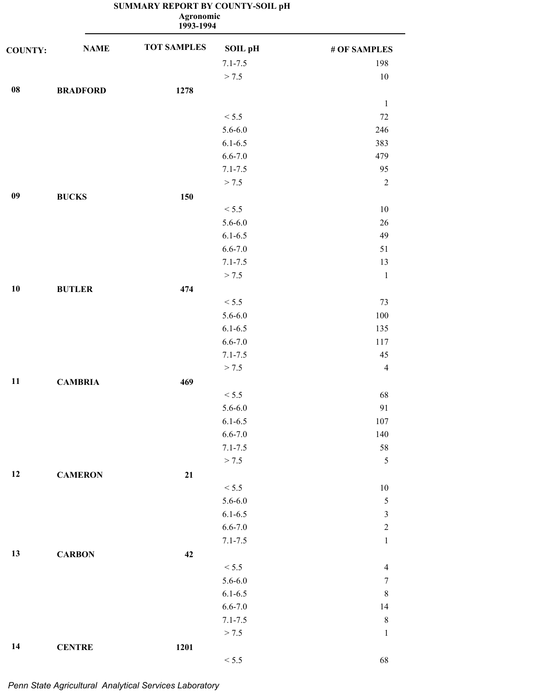|                | <b>Agronomic</b><br>1993-1994 |                    |             |                         |  |  |
|----------------|-------------------------------|--------------------|-------------|-------------------------|--|--|
| <b>COUNTY:</b> | <b>NAME</b>                   | <b>TOT SAMPLES</b> | SOIL pH     | # OF SAMPLES            |  |  |
|                |                               |                    | $7.1 - 7.5$ | 198                     |  |  |
|                |                               |                    | > 7.5       | $10\,$                  |  |  |
| ${\bf 08}$     | <b>BRADFORD</b>               | 1278               |             |                         |  |  |
|                |                               |                    |             | $\mathbf{1}$            |  |  |
|                |                               |                    | < 5.5       | $72\,$                  |  |  |
|                |                               |                    | $5.6 - 6.0$ | 246                     |  |  |
|                |                               |                    | $6.1 - 6.5$ | 383                     |  |  |
|                |                               |                    | $6.6 - 7.0$ | 479                     |  |  |
|                |                               |                    | $7.1 - 7.5$ | 95                      |  |  |
|                |                               |                    | > 7.5       | $\sqrt{2}$              |  |  |
| 09             | <b>BUCKS</b>                  | 150                |             |                         |  |  |
|                |                               |                    | < 5.5       | $10\,$                  |  |  |
|                |                               |                    | $5.6 - 6.0$ | 26                      |  |  |
|                |                               |                    | $6.1 - 6.5$ | 49                      |  |  |
|                |                               |                    | $6.6 - 7.0$ | 51                      |  |  |
|                |                               |                    | $7.1 - 7.5$ | 13                      |  |  |
|                |                               |                    | > 7.5       | $\mathbf{1}$            |  |  |
| 10             | <b>BUTLER</b>                 | 474                |             |                         |  |  |
|                |                               |                    | < 5.5       | 73                      |  |  |
|                |                               |                    | $5.6 - 6.0$ | $100\,$                 |  |  |
|                |                               |                    | $6.1 - 6.5$ | 135                     |  |  |
|                |                               |                    | $6.6 - 7.0$ | 117                     |  |  |
|                |                               |                    | $7.1 - 7.5$ | 45                      |  |  |
|                |                               |                    | > 7.5       | $\overline{4}$          |  |  |
| 11             | <b>CAMBRIA</b>                | 469                |             |                         |  |  |
|                |                               |                    | < 5.5       | 68                      |  |  |
|                |                               |                    | $5.6 - 6.0$ | 91                      |  |  |
|                |                               |                    | $6.1 - 6.5$ | 107                     |  |  |
|                |                               |                    | $6.6 - 7.0$ | 140                     |  |  |
|                |                               |                    | $7.1 - 7.5$ | $58\,$                  |  |  |
|                |                               |                    | > 7.5       | 5                       |  |  |
| 12             | <b>CAMERON</b>                | 21                 |             |                         |  |  |
|                |                               |                    | < 5.5       | $10\,$                  |  |  |
|                |                               |                    | $5.6 - 6.0$ | $\sqrt{5}$              |  |  |
|                |                               |                    | $6.1 - 6.5$ | $\overline{\mathbf{3}}$ |  |  |
|                |                               |                    | $6.6 - 7.0$ | $\boldsymbol{2}$        |  |  |
|                |                               |                    | $7.1 - 7.5$ | $\mathbf{1}$            |  |  |
|                |                               |                    |             |                         |  |  |
| 13             | <b>CARBON</b>                 | 42                 |             |                         |  |  |
|                |                               |                    | < 5.5       | $\overline{4}$          |  |  |
|                |                               |                    | $5.6 - 6.0$ | $\tau$                  |  |  |
|                |                               |                    | $6.1 - 6.5$ | $\,8\,$                 |  |  |
|                |                               |                    | $6.6 - 7.0$ | 14                      |  |  |
|                |                               |                    | $7.1 - 7.5$ | $\,8\,$                 |  |  |
|                |                               |                    | > 7.5       | $\mathbf{1}$            |  |  |
| 14             | <b>CENTRE</b>                 | 1201               |             |                         |  |  |
|                |                               |                    | < 5.5       | 68                      |  |  |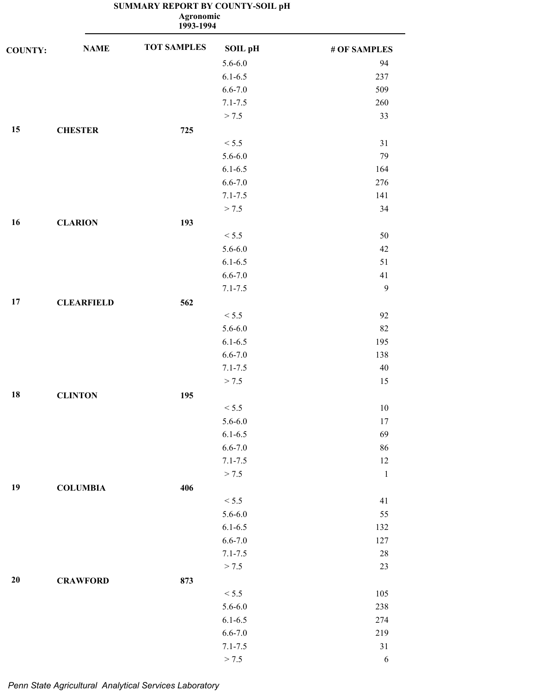**1993-1994 Agronomic**

| <b>COUNTY:</b> | <b>NAME</b>       | <b>TOT SAMPLES</b> | <b>SOIL pH</b> | # OF SAMPLES |
|----------------|-------------------|--------------------|----------------|--------------|
|                |                   |                    | $5.6 - 6.0$    | 94           |
|                |                   |                    | $6.1 - 6.5$    | 237          |
|                |                   |                    | $6.6 - 7.0$    | 509          |
|                |                   |                    | $7.1 - 7.5$    | 260          |
|                |                   |                    | > 7.5          | 33           |
| 15             | <b>CHESTER</b>    | 725                |                |              |
|                |                   |                    | < 5.5          | 31           |
|                |                   |                    | $5.6 - 6.0$    | 79           |
|                |                   |                    | $6.1 - 6.5$    | 164          |
|                |                   |                    | $6.6 - 7.0$    | 276          |
|                |                   |                    | $7.1 - 7.5$    | 141          |
|                |                   |                    | > 7.5          | 34           |
| 16             | <b>CLARION</b>    | 193                |                |              |
|                |                   |                    | < 5.5          | 50           |
|                |                   |                    | $5.6 - 6.0$    | 42           |
|                |                   |                    | $6.1 - 6.5$    | 51           |
|                |                   |                    | $6.6 - 7.0$    | 41           |
|                |                   |                    | $7.1 - 7.5$    | $\mathbf{9}$ |
| 17             | <b>CLEARFIELD</b> | 562                |                |              |
|                |                   |                    | < 5.5          | 92           |
|                |                   |                    | $5.6 - 6.0$    | 82           |
|                |                   |                    | $6.1 - 6.5$    | 195          |
|                |                   |                    | $6.6 - 7.0$    | 138          |
|                |                   |                    | $7.1 - 7.5$    | 40           |
|                |                   |                    | > 7.5          | 15           |
| 18             | <b>CLINTON</b>    | 195                |                |              |
|                |                   |                    | $< 5.5$        | $10\,$       |
|                |                   |                    | $5.6 - 6.0$    | 17           |
|                |                   |                    | $6.1 - 6.5$    | 69           |
|                |                   |                    | $6.6 - 7.0$    | 86           |
|                |                   |                    | $7.1 - 7.5$    | 12           |
|                |                   |                    | > 7.5          | $\,1\,$      |
| 19             | <b>COLUMBIA</b>   | 406                |                |              |
|                |                   |                    | < 5.5          | 41           |
|                |                   |                    | $5.6 - 6.0$    | 55           |
|                |                   |                    | $6.1 - 6.5$    | 132          |
|                |                   |                    | $6.6 - 7.0$    | 127          |
|                |                   |                    | $7.1 - 7.5$    | $28\,$       |
|                |                   |                    | > 7.5          | 23           |
| 20             | <b>CRAWFORD</b>   | 873                |                |              |
|                |                   |                    | < 5.5          | 105          |
|                |                   |                    | $5.6 - 6.0$    | 238          |
|                |                   |                    | $6.1 - 6.5$    | 274          |
|                |                   |                    | $6.6 - 7.0$    | 219          |
|                |                   |                    | $7.1 - 7.5$    | $31\,$       |
|                |                   |                    | > 7.5          | $\sqrt{6}$   |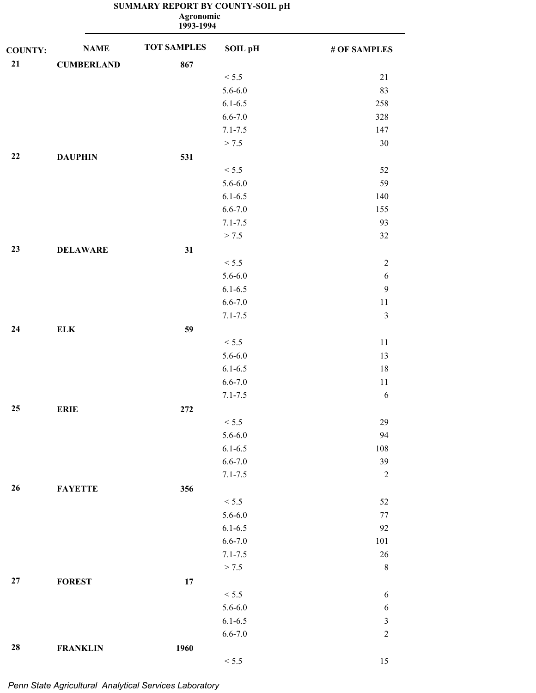| <b>NAME</b>       | <b>TOT SAMPLES</b>                             | <b>SOIL pH</b> | # OF SAMPLES                                                                                                                                                                                                                  |
|-------------------|------------------------------------------------|----------------|-------------------------------------------------------------------------------------------------------------------------------------------------------------------------------------------------------------------------------|
| <b>CUMBERLAND</b> | 867                                            |                |                                                                                                                                                                                                                               |
|                   |                                                | < 5.5          | 21                                                                                                                                                                                                                            |
|                   |                                                | $5.6 - 6.0$    | 83                                                                                                                                                                                                                            |
|                   |                                                | $6.1 - 6.5$    | 258                                                                                                                                                                                                                           |
|                   |                                                | $6.6 - 7.0$    | 328                                                                                                                                                                                                                           |
|                   |                                                | $7.1 - 7.5$    | 147                                                                                                                                                                                                                           |
|                   |                                                | > 7.5          | 30                                                                                                                                                                                                                            |
| <b>DAUPHIN</b>    | 531                                            |                |                                                                                                                                                                                                                               |
|                   |                                                | < 5.5          | 52                                                                                                                                                                                                                            |
|                   |                                                | $5.6 - 6.0$    | 59                                                                                                                                                                                                                            |
|                   |                                                | $6.1 - 6.5$    | 140                                                                                                                                                                                                                           |
|                   |                                                | $6.6 - 7.0$    | 155                                                                                                                                                                                                                           |
|                   |                                                | $7.1 - 7.5$    | 93                                                                                                                                                                                                                            |
|                   |                                                | > 7.5          | 32                                                                                                                                                                                                                            |
| <b>DELAWARE</b>   | 31                                             |                |                                                                                                                                                                                                                               |
|                   |                                                | < 5.5          | $\sqrt{2}$                                                                                                                                                                                                                    |
|                   |                                                | $5.6 - 6.0$    | $\sqrt{6}$                                                                                                                                                                                                                    |
|                   |                                                | $6.1 - 6.5$    | 9                                                                                                                                                                                                                             |
|                   |                                                | $6.6 - 7.0$    | $11\,$                                                                                                                                                                                                                        |
|                   |                                                | $7.1 - 7.5$    | $\mathfrak{Z}$                                                                                                                                                                                                                |
| <b>ELK</b>        | 59                                             |                |                                                                                                                                                                                                                               |
|                   |                                                | < 5.5          | $11\,$                                                                                                                                                                                                                        |
|                   |                                                | $5.6 - 6.0$    | 13                                                                                                                                                                                                                            |
|                   |                                                | $6.1 - 6.5$    | 18                                                                                                                                                                                                                            |
|                   |                                                | $6.6 - 7.0$    | $11\,$                                                                                                                                                                                                                        |
|                   |                                                | $7.1 - 7.5$    | $\sqrt{6}$                                                                                                                                                                                                                    |
|                   | 272                                            |                |                                                                                                                                                                                                                               |
|                   |                                                | < 5.5          | 29                                                                                                                                                                                                                            |
|                   |                                                |                | 94                                                                                                                                                                                                                            |
|                   |                                                |                | 108                                                                                                                                                                                                                           |
|                   |                                                |                | 39                                                                                                                                                                                                                            |
|                   |                                                |                | $\sqrt{2}$                                                                                                                                                                                                                    |
|                   |                                                |                |                                                                                                                                                                                                                               |
|                   |                                                |                | 52                                                                                                                                                                                                                            |
|                   |                                                |                | $77\,$                                                                                                                                                                                                                        |
|                   |                                                |                | 92                                                                                                                                                                                                                            |
|                   |                                                |                | 101                                                                                                                                                                                                                           |
|                   |                                                |                | 26                                                                                                                                                                                                                            |
|                   |                                                |                | $\,8\,$                                                                                                                                                                                                                       |
|                   |                                                |                |                                                                                                                                                                                                                               |
|                   |                                                |                | $\sqrt{6}$                                                                                                                                                                                                                    |
|                   |                                                |                | $\sqrt{6}$                                                                                                                                                                                                                    |
|                   |                                                |                | $\mathfrak z$                                                                                                                                                                                                                 |
|                   |                                                |                | $\sqrt{2}$                                                                                                                                                                                                                    |
| <b>FRANKLIN</b>   | 1960                                           |                |                                                                                                                                                                                                                               |
|                   | <b>ERIE</b><br><b>FAYETTE</b><br><b>FOREST</b> | 356<br>$17\,$  | <b>Agronomic</b><br>1993-1994<br>$5.6 - 6.0$<br>$6.1 - 6.5$<br>$6.6 - 7.0$<br>$7.1 - 7.5$<br>< 5.5<br>$5.6 - 6.0$<br>$6.1 - 6.5$<br>$6.6 - 7.0$<br>$7.1 - 7.5$<br>> 7.5<br>< 5.5<br>$5.6 - 6.0$<br>$6.1 - 6.5$<br>$6.6 - 7.0$ |

 $< 5.5$  15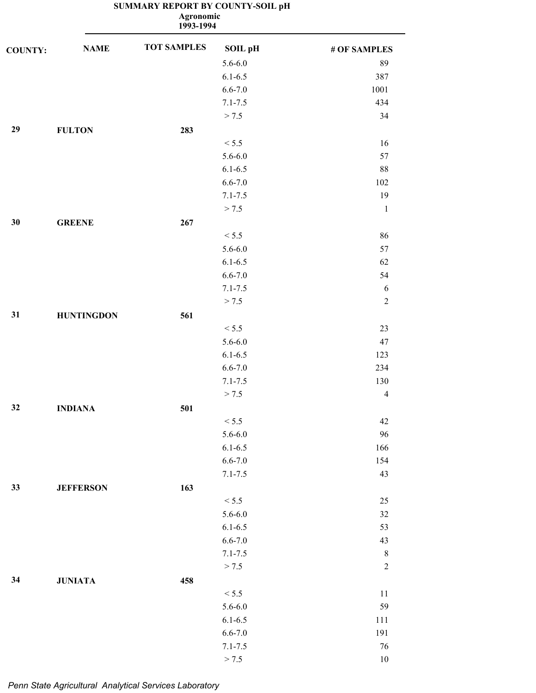**1993-1994 Agronomic**

| <b>COUNTY:</b> | <b>NAME</b>       | <b>TOT SAMPLES</b> | <b>SOIL pH</b> | # OF SAMPLES     |
|----------------|-------------------|--------------------|----------------|------------------|
|                |                   |                    | $5.6 - 6.0$    | 89               |
|                |                   |                    | $6.1 - 6.5$    | 387              |
|                |                   |                    | $6.6 - 7.0$    | 1001             |
|                |                   |                    | $7.1 - 7.5$    | 434              |
|                |                   |                    | > 7.5          | 34               |
| 29             | <b>FULTON</b>     | 283                |                |                  |
|                |                   |                    | < 5.5          | 16               |
|                |                   |                    | $5.6 - 6.0$    | 57               |
|                |                   |                    | $6.1 - 6.5$    | $88\,$           |
|                |                   |                    | $6.6 - 7.0$    | 102              |
|                |                   |                    | $7.1 - 7.5$    | 19               |
|                |                   |                    | > 7.5          | $\mathbf{1}$     |
| 30             | <b>GREENE</b>     | 267                |                |                  |
|                |                   |                    | < 5.5          | 86               |
|                |                   |                    | $5.6 - 6.0$    | 57               |
|                |                   |                    | $6.1 - 6.5$    | 62               |
|                |                   |                    | $6.6 - 7.0$    | 54               |
|                |                   |                    | $7.1 - 7.5$    | 6                |
|                |                   |                    | > 7.5          | $\sqrt{2}$       |
| 31             | <b>HUNTINGDON</b> | 561                |                |                  |
|                |                   |                    | < 5.5          | 23               |
|                |                   |                    | $5.6 - 6.0$    | 47               |
|                |                   |                    | $6.1 - 6.5$    | 123              |
|                |                   |                    | $6.6 - 7.0$    | 234              |
|                |                   |                    | $7.1 - 7.5$    | 130              |
|                |                   |                    | > 7.5          | $\overline{4}$   |
| 32             | <b>INDIANA</b>    | 501                |                |                  |
|                |                   |                    | < 5.5          | 42               |
|                |                   |                    | $5.6 - 6.0$    | 96               |
|                |                   |                    | $6.1 - 6.5$    | 166              |
|                |                   |                    | $6.6 - 7.0$    | 154              |
|                |                   |                    | $7.1 - 7.5$    | 43               |
| 33             | <b>JEFFERSON</b>  | 163                |                |                  |
|                |                   |                    | < 5.5          | $25\,$           |
|                |                   |                    | $5.6 - 6.0$    | $32\,$           |
|                |                   |                    | $6.1 - 6.5$    | 53               |
|                |                   |                    | $6.6 - 7.0$    | 43               |
|                |                   |                    | $7.1 - 7.5$    | $\,8\,$          |
|                |                   |                    | > 7.5          | $\boldsymbol{2}$ |
| 34             | <b>JUNIATA</b>    | 458                |                |                  |
|                |                   |                    | < 5.5          | 11               |
|                |                   |                    | $5.6 - 6.0$    | 59               |
|                |                   |                    | $6.1 - 6.5$    | 111              |
|                |                   |                    | $6.6 - 7.0$    | 191              |
|                |                   |                    | $7.1 - 7.5$    | $76\,$           |
|                |                   |                    | > 7.5          | $10\,$           |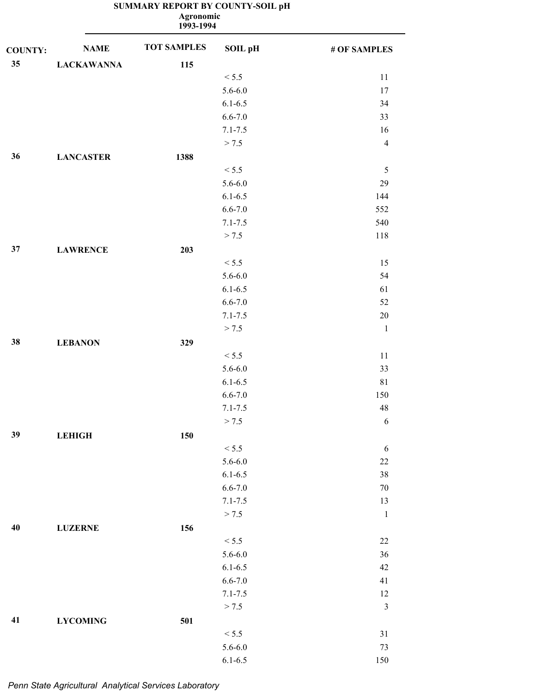|                | Agronomic<br>1993-1994 |                    |                |                |  |  |
|----------------|------------------------|--------------------|----------------|----------------|--|--|
| <b>COUNTY:</b> | <b>NAME</b>            | <b>TOT SAMPLES</b> | <b>SOIL pH</b> | # OF SAMPLES   |  |  |
| $35\,$         | <b>LACKAWANNA</b>      | 115                |                |                |  |  |
|                |                        |                    | < 5.5          | $11\,$         |  |  |
|                |                        |                    | $5.6 - 6.0$    | 17             |  |  |
|                |                        |                    | $6.1 - 6.5$    | 34             |  |  |
|                |                        |                    | $6.6 - 7.0$    | 33             |  |  |
|                |                        |                    | $7.1 - 7.5$    | 16             |  |  |
|                |                        |                    | > 7.5          | $\overline{4}$ |  |  |
| 36             | <b>LANCASTER</b>       | 1388               |                |                |  |  |
|                |                        |                    | < 5.5          | $\mathfrak s$  |  |  |
|                |                        |                    | $5.6 - 6.0$    | 29             |  |  |
|                |                        |                    | $6.1 - 6.5$    | 144            |  |  |
|                |                        |                    | $6.6 - 7.0$    | 552            |  |  |
|                |                        |                    | $7.1 - 7.5$    | 540            |  |  |
|                |                        |                    | > 7.5          | 118            |  |  |
| 37             | <b>LAWRENCE</b>        | 203                |                |                |  |  |
|                |                        |                    | < 5.5          | 15             |  |  |
|                |                        |                    | $5.6 - 6.0$    | 54             |  |  |
|                |                        |                    | $6.1 - 6.5$    | 61             |  |  |
|                |                        |                    | $6.6 - 7.0$    | 52             |  |  |
|                |                        |                    | $7.1 - 7.5$    | $20\,$         |  |  |
|                |                        |                    | > 7.5          |                |  |  |
|                |                        |                    |                | $\mathbf{1}$   |  |  |
| $38\,$         | <b>LEBANON</b>         | 329                |                |                |  |  |
|                |                        |                    | < 5.5          | 11             |  |  |
|                |                        |                    | $5.6 - 6.0$    | 33             |  |  |
|                |                        |                    | $6.1 - 6.5$    | 81             |  |  |
|                |                        |                    | $6.6 - 7.0$    | 150            |  |  |
|                |                        |                    | $7.1 - 7.5$    | 48             |  |  |
|                |                        |                    | > 7.5          | $\sqrt{6}$     |  |  |
| 39             | <b>LEHIGH</b>          | 150                |                |                |  |  |
|                |                        |                    | < 5.5          | $\sqrt{6}$     |  |  |
|                |                        |                    | $5.6 - 6.0$    | $22\,$         |  |  |
|                |                        |                    | $6.1 - 6.5$    | $38\,$         |  |  |
|                |                        |                    | $6.6 - 7.0$    | $70\,$         |  |  |
|                |                        |                    | $7.1 - 7.5$    | 13             |  |  |
|                |                        |                    | > 7.5          | $\mathbf 1$    |  |  |
| 40             | <b>LUZERNE</b>         | 156                |                |                |  |  |
|                |                        |                    | < 5.5          | $22\,$         |  |  |
|                |                        |                    | $5.6 - 6.0$    | 36             |  |  |
|                |                        |                    | $6.1 - 6.5$    | 42             |  |  |
|                |                        |                    | $6.6 - 7.0$    | 41             |  |  |
|                |                        |                    | $7.1 - 7.5$    | $12\,$         |  |  |
|                |                        |                    | > 7.5          | $\mathfrak{Z}$ |  |  |
| 41             | <b>LYCOMING</b>        | 501                |                |                |  |  |
|                |                        |                    | < 5.5          | $31\,$         |  |  |
|                |                        |                    | $5.6 - 6.0$    | $73\,$         |  |  |
|                |                        |                    | $6.1 - 6.5$    | 150            |  |  |
|                |                        |                    |                |                |  |  |

#### **SUMMARY REPORT BY COUNTY-SOIL pH Agronomic**

*Penn State Agricultural Analytical Services Laboratory*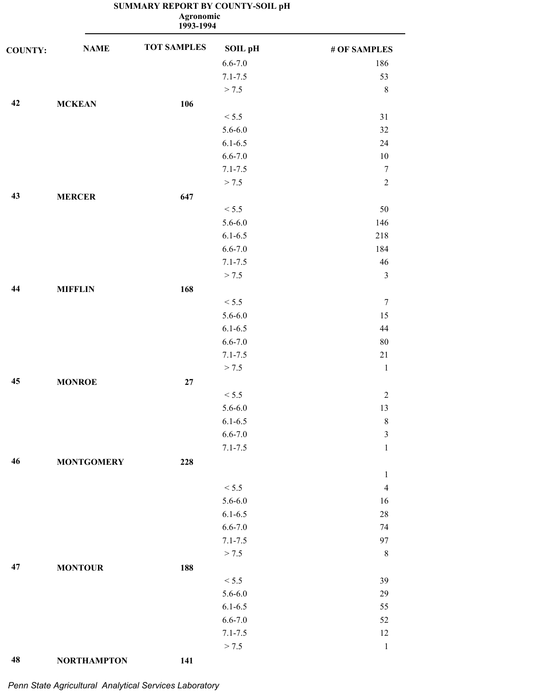|                |                   | Agronomic<br>1993-1994 |                |                |
|----------------|-------------------|------------------------|----------------|----------------|
| <b>COUNTY:</b> | <b>NAME</b>       | <b>TOT SAMPLES</b>     | <b>SOIL pH</b> | # OF SAMPLES   |
|                |                   |                        | $6.6 - 7.0$    | 186            |
|                |                   |                        | $7.1 - 7.5$    | 53             |
|                |                   |                        | > 7.5          | $\,8\,$        |
| 42             | <b>MCKEAN</b>     | 106                    |                |                |
|                |                   |                        | < 5.5          | 31             |
|                |                   |                        | $5.6 - 6.0$    | 32             |
|                |                   |                        | $6.1 - 6.5$    | 24             |
|                |                   |                        | $6.6 - 7.0$    | 10             |
|                |                   |                        | $7.1 - 7.5$    | $\overline{7}$ |
|                |                   |                        | > 7.5          | $\overline{2}$ |
| 43             | <b>MERCER</b>     | 647                    |                |                |
|                |                   |                        | < 5.5          | 50             |
|                |                   |                        | $5.6 - 6.0$    | 146            |
|                |                   |                        | $6.1 - 6.5$    | 218            |
|                |                   |                        | $6.6 - 7.0$    | 184            |
|                |                   |                        | $7.1 - 7.5$    | 46             |
|                |                   |                        | > 7.5          | $\mathfrak{Z}$ |
| 44             | <b>MIFFLIN</b>    | 168                    |                |                |
|                |                   |                        | < 5.5          | $\overline{7}$ |
|                |                   |                        | $5.6 - 6.0$    | 15             |
|                |                   |                        | $6.1 - 6.5$    | 44             |
|                |                   |                        | $6.6 - 7.0$    | 80             |
|                |                   |                        | $7.1 - 7.5$    | $21\,$         |
|                |                   |                        | > 7.5          | $\mathbf{1}$   |
| 45             | <b>MONROE</b>     | $27\,$                 |                |                |
|                |                   |                        | < 5.5          | $\sqrt{2}$     |
|                |                   |                        | $5.6 - 6.0$    | 13             |
|                |                   |                        | $6.1 - 6.5$    | $\,8\,$        |
|                |                   |                        | $6.6 - 7.0$    | $\mathfrak{Z}$ |
|                |                   |                        | $7.1 - 7.5$    | $\mathbf 1$    |
| 46             | <b>MONTGOMERY</b> | 228                    |                |                |
|                |                   |                        |                | $\mathbf{1}$   |
|                |                   |                        | < 5.5          | $\overline{4}$ |
|                |                   |                        | $5.6 - 6.0$    | 16             |
|                |                   |                        | $6.1 - 6.5$    | $28\,$         |
|                |                   |                        | $6.6 - 7.0$    | 74             |
|                |                   |                        | $7.1 - 7.5$    | 97             |
|                |                   |                        | > 7.5          | $\,8\,$        |
| 47             | <b>MONTOUR</b>    | 188                    |                |                |
|                |                   |                        | < 5.5          | 39             |
|                |                   |                        | $5.6 - 6.0$    | 29             |
|                |                   |                        | $6.1 - 6.5$    | 55             |
|                |                   |                        | $6.6 - 7.0$    | 52             |
|                |                   |                        | $7.1 - 7.5$    | 12             |
|                |                   |                        | > 7.5          | $\mathbf{1}$   |

# *Penn State Agricultural Analytical Services Laboratory*

**48 NORTHAMPTON 141**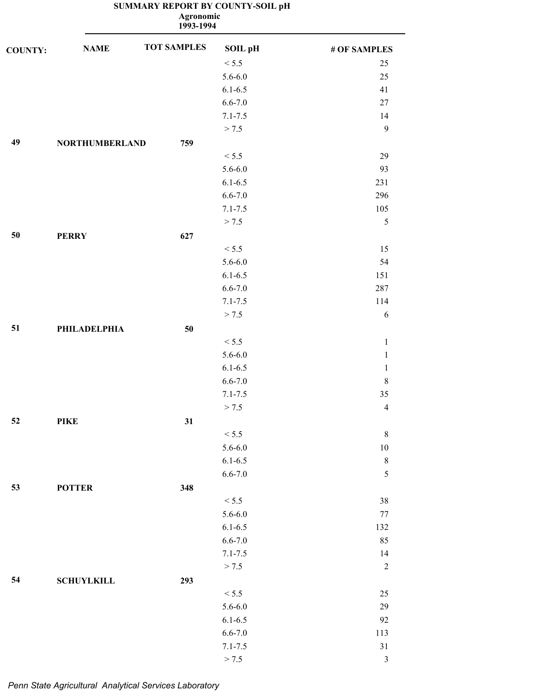| SUMMARY REPORT BY COUNTY-SOIL pH |  |
|----------------------------------|--|
|----------------------------------|--|

**1993-1994 Agronomic**

| <b>COUNTY:</b> | <b>NAME</b>           | <b>TOT SAMPLES</b> | <b>SOIL pH</b> | # OF SAMPLES   |
|----------------|-----------------------|--------------------|----------------|----------------|
|                |                       |                    | < 5.5          | 25             |
|                |                       |                    | $5.6 - 6.0$    | 25             |
|                |                       |                    | $6.1 - 6.5$    | 41             |
|                |                       |                    | $6.6 - 7.0$    | 27             |
|                |                       |                    | $7.1 - 7.5$    | 14             |
|                |                       |                    | > 7.5          | 9              |
| 49             | <b>NORTHUMBERLAND</b> | 759                |                |                |
|                |                       |                    | < 5.5          | 29             |
|                |                       |                    | $5.6 - 6.0$    | 93             |
|                |                       |                    | $6.1 - 6.5$    | 231            |
|                |                       |                    | $6.6 - 7.0$    | 296            |
|                |                       |                    | $7.1 - 7.5$    | 105            |
|                |                       |                    | > 7.5          | $\sqrt{5}$     |
| 50             | <b>PERRY</b>          | 627                |                |                |
|                |                       |                    | < 5.5          | 15             |
|                |                       |                    | $5.6 - 6.0$    | 54             |
|                |                       |                    | $6.1 - 6.5$    | 151            |
|                |                       |                    | $6.6 - 7.0$    | 287            |
|                |                       |                    | $7.1 - 7.5$    | 114            |
|                |                       |                    | > 7.5          | 6              |
| 51             | <b>PHILADELPHIA</b>   | 50                 |                |                |
|                |                       |                    | < 5.5          | $\,1\,$        |
|                |                       |                    | $5.6 - 6.0$    | $\mathbf{1}$   |
|                |                       |                    | $6.1 - 6.5$    | $\mathbf{1}$   |
|                |                       |                    | $6.6 - 7.0$    | $\,8\,$        |
|                |                       |                    | $7.1 - 7.5$    | 35             |
|                |                       |                    | > 7.5          | $\overline{4}$ |
| 52             | <b>PIKE</b>           | 31                 |                |                |
|                |                       |                    | $< 5.5$        | $\,8\,$        |
|                |                       |                    | $5.6 - 6.0$    | $10\,$         |
|                |                       |                    | $6.1 - 6.5$    | $\,8\,$        |
|                |                       |                    | $6.6 - 7.0$    | $\sqrt{5}$     |
| 53             | <b>POTTER</b>         | 348                |                |                |
|                |                       |                    | < 5.5          | 38             |
|                |                       |                    | $5.6 - 6.0$    | $77$           |
|                |                       |                    | $6.1 - 6.5$    | 132            |
|                |                       |                    | $6.6 - 7.0$    | 85             |
|                |                       |                    | $7.1 - 7.5$    | 14             |
|                |                       |                    | > 7.5          | $\sqrt{2}$     |
| 54             | <b>SCHUYLKILL</b>     | 293                |                |                |
|                |                       |                    | < 5.5          | $25\,$         |
|                |                       |                    | $5.6 - 6.0$    | 29             |
|                |                       |                    | $6.1 - 6.5$    | 92             |
|                |                       |                    | $6.6 - 7.0$    | 113            |
|                |                       |                    | $7.1 - 7.5$    | $31\,$         |
|                |                       |                    | > 7.5          | $\mathfrak{Z}$ |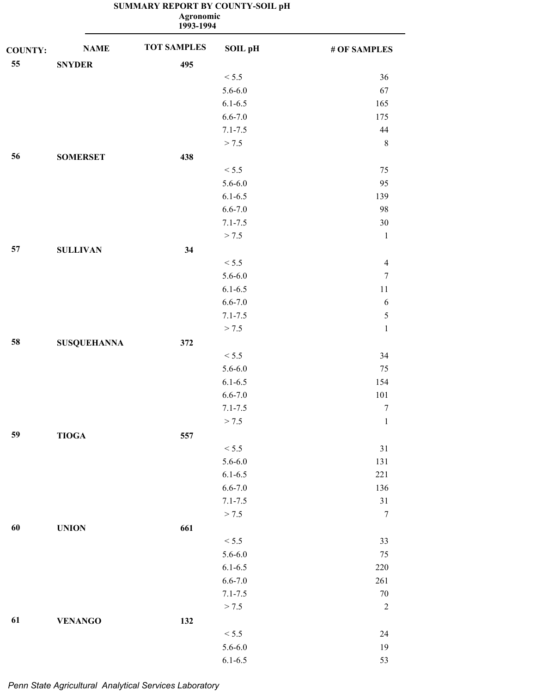|                |                    | <b>Agronomic</b><br>1993-1994 |                |                  |
|----------------|--------------------|-------------------------------|----------------|------------------|
| <b>COUNTY:</b> | <b>NAME</b>        | <b>TOT SAMPLES</b>            | <b>SOIL pH</b> | # OF SAMPLES     |
| 55             | <b>SNYDER</b>      | 495                           |                |                  |
|                |                    |                               | < 5.5          | 36               |
|                |                    |                               | $5.6 - 6.0$    | 67               |
|                |                    |                               | $6.1 - 6.5$    | 165              |
|                |                    |                               | $6.6 - 7.0$    | 175              |
|                |                    |                               | $7.1 - 7.5$    | 44               |
|                |                    |                               | > 7.5          | $\,8\,$          |
| 56             | <b>SOMERSET</b>    | 438                           |                |                  |
|                |                    |                               | < 5.5          | 75               |
|                |                    |                               | $5.6 - 6.0$    | 95               |
|                |                    |                               | $6.1 - 6.5$    | 139              |
|                |                    |                               | $6.6 - 7.0$    | 98               |
|                |                    |                               | $7.1 - 7.5$    | 30               |
|                |                    |                               | > 7.5          | $\,1\,$          |
| 57             | <b>SULLIVAN</b>    | 34                            |                |                  |
|                |                    |                               | < 5.5          | $\overline{4}$   |
|                |                    |                               | $5.6 - 6.0$    | $\overline{7}$   |
|                |                    |                               | $6.1 - 6.5$    | $11\,$           |
|                |                    |                               | $6.6 - 7.0$    | 6                |
|                |                    |                               | $7.1 - 7.5$    | 5                |
|                |                    |                               | > 7.5          | $\,1$            |
| 58             | <b>SUSQUEHANNA</b> | 372                           |                |                  |
|                |                    |                               | < 5.5          | 34               |
|                |                    |                               | $5.6 - 6.0$    | 75               |
|                |                    |                               | $6.1 - 6.5$    | 154              |
|                |                    |                               | $6.6 - 7.0$    | 101              |
|                |                    |                               | $7.1 - 7.5$    | 7                |
|                |                    |                               | > 7.5          | $\,1$            |
| 59             | <b>TIOGA</b>       | 557                           |                |                  |
|                |                    |                               | < 5.5          | 31               |
|                |                    |                               | $5.6 - 6.0$    | 131              |
|                |                    |                               | $6.1 - 6.5$    | $221\,$          |
|                |                    |                               | $6.6 - 7.0$    | 136              |
|                |                    |                               | $7.1 - 7.5$    | $31\,$           |
|                |                    |                               | > 7.5          | $\boldsymbol{7}$ |
| 60             | <b>UNION</b>       | 661                           |                |                  |
|                |                    |                               | < 5.5          | 33               |
|                |                    |                               | $5.6 - 6.0$    | 75               |
|                |                    |                               | $6.1 - 6.5$    | $220\,$          |
|                |                    |                               | $6.6 - 7.0$    | 261              |
|                |                    |                               | $7.1 - 7.5$    | $70\,$           |
|                |                    |                               | > 7.5          | $\sqrt{2}$       |
| 61             | <b>VENANGO</b>     | 132                           |                |                  |
|                |                    |                               | < 5.5          | 24               |
|                |                    |                               | $5.6 - 6.0$    | 19               |
|                |                    |                               |                |                  |

6.1-6.5 53